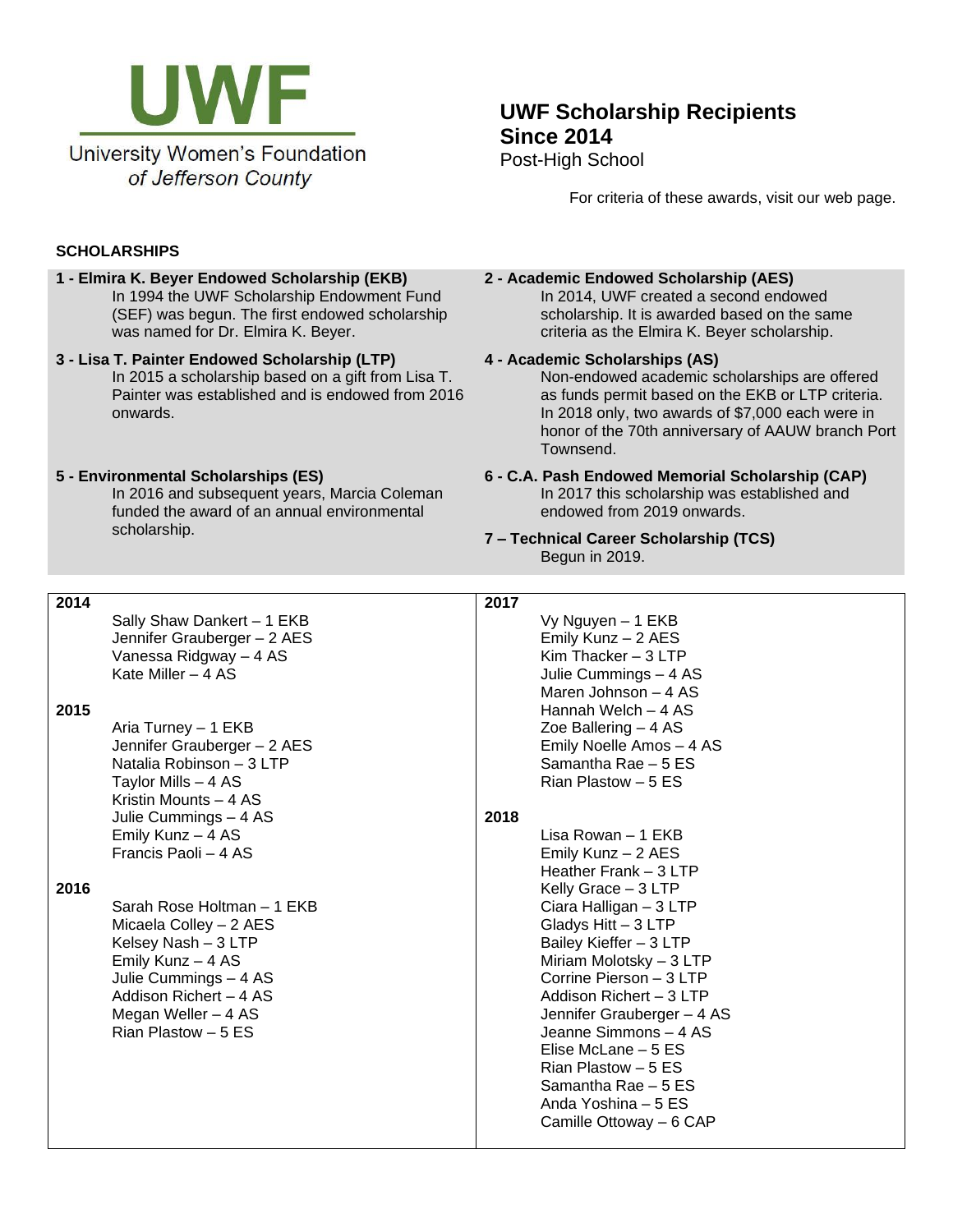

# **UWF Scholarship Recipients Since 2014** Post-High School

For criteria of these awards, visit our web page.

# **SCHOLARSHIPS**

- **1 - Elmira K. Beyer Endowed Scholarship (EKB)** In 1994 the UWF Scholarship Endowment Fund (SEF) was begun. The first endowed scholarship was named for Dr. Elmira K. Beyer.
- **3 - Lisa T. Painter Endowed Scholarship (LTP)** In 2015 a scholarship based on a gift from Lisa T. Painter was established and is endowed from 2016 onwards.

#### **5 - Environmental Scholarships (ES)**

In 2016 and subsequent years, Marcia Coleman funded the award of an annual environmental scholarship.

### **2 - Academic Endowed Scholarship (AES)**

In 2014, UWF created a second endowed scholarship. It is awarded based on the same criteria as the Elmira K. Beyer scholarship.

# **4 - Academic Scholarships (AS)**

Non-endowed academic scholarships are offered as funds permit based on the EKB or LTP criteria. In 2018 only, two awards of \$7,000 each were in honor of the 70th anniversary of AAUW branch Port Townsend.

#### **6 - C.A. Pash Endowed Memorial Scholarship (CAP)** In 2017 this scholarship was established and endowed from 2019 onwards.

**7 – Technical Career Scholarship (TCS)** Begun in 2019.

| 2014 |                             | 2017 |                            |
|------|-----------------------------|------|----------------------------|
|      | Sally Shaw Dankert - 1 EKB  |      | Vy Nguyen - 1 EKB          |
|      | Jennifer Grauberger - 2 AES |      | Emily Kunz - 2 AES         |
|      | Vanessa Ridgway - 4 AS      |      | Kim Thacker $-3$ LTP       |
|      | Kate Miller - 4 AS          |      | Julie Cummings - 4 AS      |
|      |                             |      | Maren Johnson - 4 AS       |
| 2015 |                             |      | Hannah Welch - 4 AS        |
|      | Aria Turney - 1 EKB         |      | Zoe Ballering $-4AS$       |
|      | Jennifer Grauberger - 2 AES |      | Emily Noelle Amos - 4 AS   |
|      | Natalia Robinson - 3 LTP    |      | Samantha Rae - 5 ES        |
|      | Taylor Mills - 4 AS         |      | Rian Plastow - 5 ES        |
|      | Kristin Mounts - 4 AS       |      |                            |
|      | Julie Cummings - 4 AS       | 2018 |                            |
|      | Emily Kunz - 4 AS           |      | Lisa Rowan - 1 EKB         |
|      | Francis Paoli - 4 AS        |      | Emily Kunz - 2 AES         |
|      |                             |      | Heather Frank - 3 LTP      |
| 2016 |                             |      | Kelly Grace - 3 LTP        |
|      | Sarah Rose Holtman - 1 EKB  |      | Ciara Halligan - 3 LTP     |
|      | Micaela Colley - 2 AES      |      | Gladys Hitt - 3 LTP        |
|      | Kelsey Nash - 3 LTP         |      | Bailey Kieffer - 3 LTP     |
|      | Emily Kunz - 4 AS           |      | Miriam Molotsky - 3 LTP    |
|      | Julie Cummings - 4 AS       |      | Corrine Pierson - 3 LTP    |
|      | Addison Richert - 4 AS      |      | Addison Richert - 3 LTP    |
|      | Megan Weller - 4 AS         |      | Jennifer Grauberger - 4 AS |
|      | Rian Plastow - 5 ES         |      | Jeanne Simmons - 4 AS      |
|      |                             |      | Elise McLane – 5 ES        |
|      |                             |      | Rian Plastow - 5 ES        |
|      |                             |      | Samantha Rae - 5 ES        |
|      |                             |      | Anda Yoshina – 5 ES        |
|      |                             |      | Camille Ottoway - 6 CAP    |
|      |                             |      |                            |